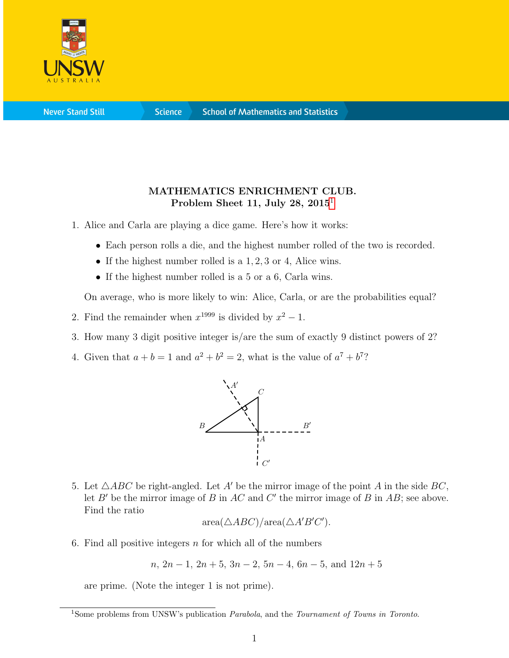

**Science** 

## MATHEMATICS ENRICHMENT CLUB. Problem Sheet [1](#page-0-0)1, July 28,  $2015<sup>1</sup>$

- 1. Alice and Carla are playing a dice game. Here's how it works:
	- Each person rolls a die, and the highest number rolled of the two is recorded.
	- If the highest number rolled is a 1, 2, 3 or 4, Alice wins.
	- If the highest number rolled is a 5 or a 6, Carla wins.

On average, who is more likely to win: Alice, Carla, or are the probabilities equal?

- 2. Find the remainder when  $x^{1999}$  is divided by  $x^2 1$ .
- 3. How many 3 digit positive integer is/are the sum of exactly 9 distinct powers of 2?
- 4. Given that  $a + b = 1$  and  $a^2 + b^2 = 2$ , what is the value of  $a^7 + b^7$ ?



5. Let  $\triangle ABC$  be right-angled. Let A' be the mirror image of the point A in the side BC, let  $B'$  be the mirror image of B in  $AC$  and C' the mirror image of B in  $AB$ ; see above. Find the ratio

$$
\text{area}(\triangle ABC)/\text{area}(\triangle A'B'C').
$$

6. Find all positive integers  $n$  for which all of the numbers

$$
n, 2n-1, 2n+5, 3n-2, 5n-4, 6n-5, and 12n+5
$$

are prime. (Note the integer 1 is not prime).

<span id="page-0-0"></span><sup>&</sup>lt;sup>1</sup>Some problems from UNSW's publication *Parabola*, and the *Tournament of Towns in Toronto*.